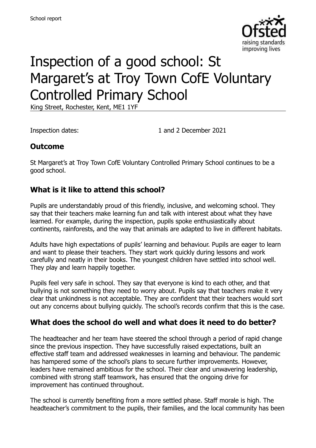

# Inspection of a good school: St Margaret's at Troy Town CofE Voluntary Controlled Primary School

King Street, Rochester, Kent, ME1 1YF

Inspection dates: 1 and 2 December 2021

#### **Outcome**

St Margaret's at Troy Town CofE Voluntary Controlled Primary School continues to be a good school.

#### **What is it like to attend this school?**

Pupils are understandably proud of this friendly, inclusive, and welcoming school. They say that their teachers make learning fun and talk with interest about what they have learned. For example, during the inspection, pupils spoke enthusiastically about continents, rainforests, and the way that animals are adapted to live in different habitats.

Adults have high expectations of pupils' learning and behaviour. Pupils are eager to learn and want to please their teachers. They start work quickly during lessons and work carefully and neatly in their books. The youngest children have settled into school well. They play and learn happily together.

Pupils feel very safe in school. They say that everyone is kind to each other, and that bullying is not something they need to worry about. Pupils say that teachers make it very clear that unkindness is not acceptable. They are confident that their teachers would sort out any concerns about bullying quickly. The school's records confirm that this is the case.

#### **What does the school do well and what does it need to do better?**

The headteacher and her team have steered the school through a period of rapid change since the previous inspection. They have successfully raised expectations, built an effective staff team and addressed weaknesses in learning and behaviour. The pandemic has hampered some of the school's plans to secure further improvements. However, leaders have remained ambitious for the school. Their clear and unwavering leadership, combined with strong staff teamwork, has ensured that the ongoing drive for improvement has continued throughout.

The school is currently benefiting from a more settled phase. Staff morale is high. The headteacher's commitment to the pupils, their families, and the local community has been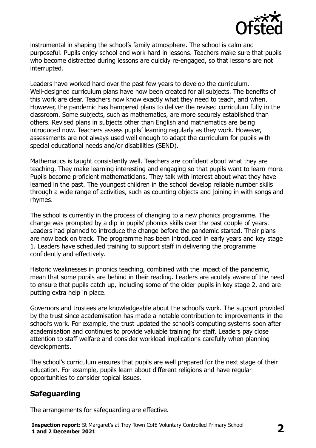

instrumental in shaping the school's family atmosphere. The school is calm and purposeful. Pupils enjoy school and work hard in lessons. Teachers make sure that pupils who become distracted during lessons are quickly re-engaged, so that lessons are not interrupted.

Leaders have worked hard over the past few years to develop the curriculum. Well-designed curriculum plans have now been created for all subjects. The benefits of this work are clear. Teachers now know exactly what they need to teach, and when. However, the pandemic has hampered plans to deliver the revised curriculum fully in the classroom. Some subjects, such as mathematics, are more securely established than others. Revised plans in subjects other than English and mathematics are being introduced now. Teachers assess pupils' learning regularly as they work. However, assessments are not always used well enough to adapt the curriculum for pupils with special educational needs and/or disabilities (SEND).

Mathematics is taught consistently well. Teachers are confident about what they are teaching. They make learning interesting and engaging so that pupils want to learn more. Pupils become proficient mathematicians. They talk with interest about what they have learned in the past. The youngest children in the school develop reliable number skills through a wide range of activities, such as counting objects and joining in with songs and rhymes.

The school is currently in the process of changing to a new phonics programme. The change was prompted by a dip in pupils' phonics skills over the past couple of years. Leaders had planned to introduce the change before the pandemic started. Their plans are now back on track. The programme has been introduced in early years and key stage 1. Leaders have scheduled training to support staff in delivering the programme confidently and effectively.

Historic weaknesses in phonics teaching, combined with the impact of the pandemic, mean that some pupils are behind in their reading. Leaders are acutely aware of the need to ensure that pupils catch up, including some of the older pupils in key stage 2, and are putting extra help in place.

Governors and trustees are knowledgeable about the school's work. The support provided by the trust since academisation has made a notable contribution to improvements in the school's work. For example, the trust updated the school's computing systems soon after academisation and continues to provide valuable training for staff. Leaders pay close attention to staff welfare and consider workload implications carefully when planning developments.

The school's curriculum ensures that pupils are well prepared for the next stage of their education. For example, pupils learn about different religions and have regular opportunities to consider topical issues.

## **Safeguarding**

The arrangements for safeguarding are effective.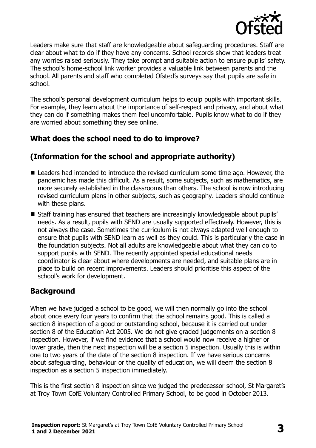

Leaders make sure that staff are knowledgeable about safeguarding procedures. Staff are clear about what to do if they have any concerns. School records show that leaders treat any worries raised seriously. They take prompt and suitable action to ensure pupils' safety. The school's home-school link worker provides a valuable link between parents and the school. All parents and staff who completed Ofsted's surveys say that pupils are safe in school.

The school's personal development curriculum helps to equip pupils with important skills. For example, they learn about the importance of self-respect and privacy, and about what they can do if something makes them feel uncomfortable. Pupils know what to do if they are worried about something they see online.

## **What does the school need to do to improve?**

## **(Information for the school and appropriate authority)**

- Leaders had intended to introduce the revised curriculum some time ago. However, the pandemic has made this difficult. As a result, some subjects, such as mathematics, are more securely established in the classrooms than others. The school is now introducing revised curriculum plans in other subjects, such as geography. Leaders should continue with these plans.
- Staff training has ensured that teachers are increasingly knowledgeable about pupils' needs. As a result, pupils with SEND are usually supported effectively. However, this is not always the case. Sometimes the curriculum is not always adapted well enough to ensure that pupils with SEND learn as well as they could. This is particularly the case in the foundation subjects. Not all adults are knowledgeable about what they can do to support pupils with SEND. The recently appointed special educational needs coordinator is clear about where developments are needed, and suitable plans are in place to build on recent improvements. Leaders should prioritise this aspect of the school's work for development.

## **Background**

When we have judged a school to be good, we will then normally go into the school about once every four years to confirm that the school remains good. This is called a section 8 inspection of a good or outstanding school, because it is carried out under section 8 of the Education Act 2005. We do not give graded judgements on a section 8 inspection. However, if we find evidence that a school would now receive a higher or lower grade, then the next inspection will be a section 5 inspection. Usually this is within one to two years of the date of the section 8 inspection. If we have serious concerns about safeguarding, behaviour or the quality of education, we will deem the section 8 inspection as a section 5 inspection immediately.

This is the first section 8 inspection since we judged the predecessor school, St Margaret's at Troy Town CofE Voluntary Controlled Primary School, to be good in October 2013.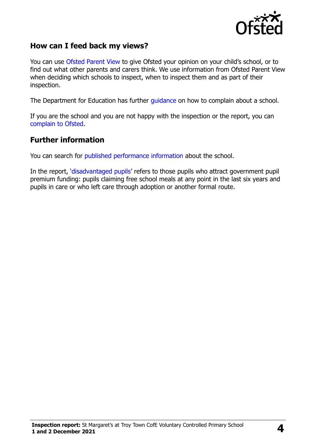

#### **How can I feed back my views?**

You can use [Ofsted Parent View](https://parentview.ofsted.gov.uk/) to give Ofsted your opinion on your child's school, or to find out what other parents and carers think. We use information from Ofsted Parent View when deciding which schools to inspect, when to inspect them and as part of their inspection.

The Department for Education has further [guidance](http://www.gov.uk/complain-about-school) on how to complain about a school.

If you are the school and you are not happy with the inspection or the report, you can [complain to Ofsted.](https://www.gov.uk/complain-ofsted-report)

#### **Further information**

You can search for [published performance information](http://www.compare-school-performance.service.gov.uk/) about the school.

In the report, '[disadvantaged pupils](http://www.gov.uk/guidance/pupil-premium-information-for-schools-and-alternative-provision-settings)' refers to those pupils who attract government pupil premium funding: pupils claiming free school meals at any point in the last six years and pupils in care or who left care through adoption or another formal route.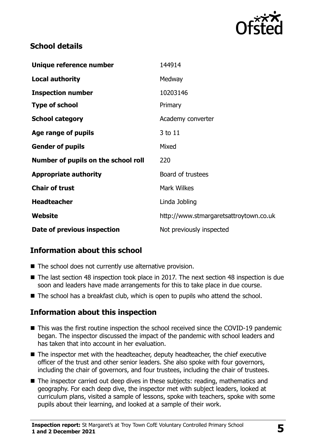

## **School details**

| Unique reference number             | 144914                                 |
|-------------------------------------|----------------------------------------|
| Local authority                     | Medway                                 |
| <b>Inspection number</b>            | 10203146                               |
| <b>Type of school</b>               | Primary                                |
| <b>School category</b>              | Academy converter                      |
| Age range of pupils                 | 3 to 11                                |
| <b>Gender of pupils</b>             | Mixed                                  |
| Number of pupils on the school roll | 220                                    |
| <b>Appropriate authority</b>        | Board of trustees                      |
| <b>Chair of trust</b>               | <b>Mark Wilkes</b>                     |
| <b>Headteacher</b>                  | Linda Jobling                          |
| Website                             | http://www.stmargaretsattroytown.co.uk |
| Date of previous inspection         | Not previously inspected               |

## **Information about this school**

- The school does not currently use alternative provision.
- The last section 48 inspection took place in 2017. The next section 48 inspection is due soon and leaders have made arrangements for this to take place in due course.
- The school has a breakfast club, which is open to pupils who attend the school.

## **Information about this inspection**

- This was the first routine inspection the school received since the COVID-19 pandemic began. The inspector discussed the impact of the pandemic with school leaders and has taken that into account in her evaluation.
- The inspector met with the headteacher, deputy headteacher, the chief executive officer of the trust and other senior leaders. She also spoke with four governors, including the chair of governors, and four trustees, including the chair of trustees.
- The inspector carried out deep dives in these subjects: reading, mathematics and geography. For each deep dive, the inspector met with subject leaders, looked at curriculum plans, visited a sample of lessons, spoke with teachers, spoke with some pupils about their learning, and looked at a sample of their work.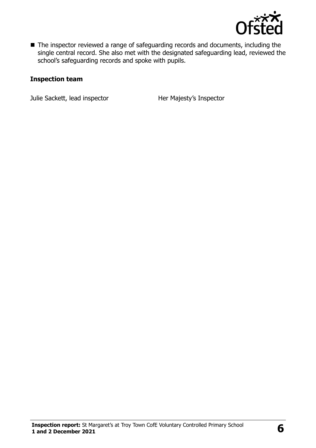

■ The inspector reviewed a range of safeguarding records and documents, including the single central record. She also met with the designated safeguarding lead, reviewed the school's safeguarding records and spoke with pupils.

#### **Inspection team**

Julie Sackett, lead inspector **Her Majesty's Inspector**